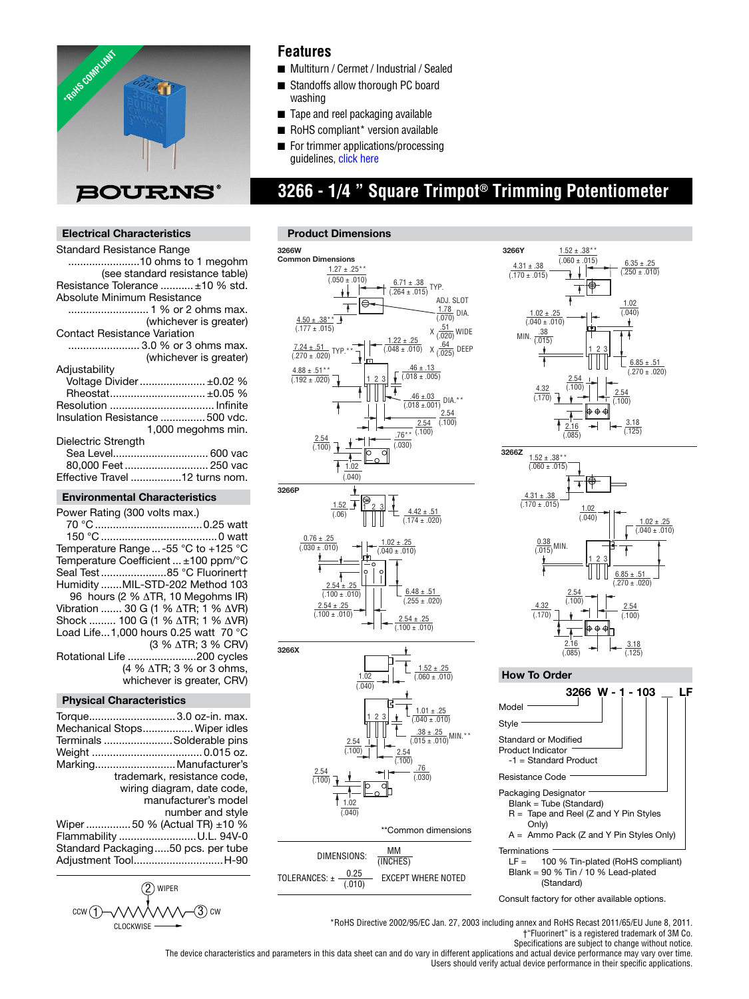

### **Features**

- Multiturn / Cermet / Industrial / Sealed
- Standoffs allow thorough PC board washing
- Tape and reel packaging available
- RoHS compliant\* version available
- For tri[mmer applications/pro](http://www.bourns.com/data/global/pdfs/ap_proc.pdf)cessing guidelines, click here

## **3266 - 1/4 " Square Trimpot® Trimming Potentiometer**

#### **Electrical Characteristics**

| Standard Resistance Range           |  |  |
|-------------------------------------|--|--|
| 10 ohms to 1 megohm                 |  |  |
| (see standard resistance table)     |  |  |
| Resistance Tolerance  ±10 % std.    |  |  |
| Absolute Minimum Resistance         |  |  |
|                                     |  |  |
| (whichever is greater)              |  |  |
| <b>Contact Resistance Variation</b> |  |  |
| 3.0 % or 3 ohms max.                |  |  |
| (whichever is greater)              |  |  |
| Adjustability                       |  |  |
| Voltage Divider  ±0.02 %            |  |  |
| Rheostat ±0.05 %                    |  |  |
|                                     |  |  |
| Insulation Resistance  500 vdc.     |  |  |
| 1,000 megohms min.                  |  |  |
| Dielectric Strength                 |  |  |
| Sea Level 600 vac                   |  |  |
| 80,000 Feet 250 vac                 |  |  |
| Effective Travel 12 turns nom.      |  |  |
|                                     |  |  |

### **Environmental Characteristics**

| Power Rating (300 volts max.)                            |
|----------------------------------------------------------|
|                                                          |
|                                                          |
| Temperature Range  -55 $^{\circ}$ C to +125 $^{\circ}$ C |
| Temperature Coefficient $\pm 100$ ppm/°C                 |
| Seal Test85 °C Fluorinert†                               |
| Humidity MIL-STD-202 Method 103                          |
| 96 hours (2 % $\triangle$ TR, 10 Megohms IR)             |
| Vibration  30 G (1 % ΔTR; 1 % ΔVR)                       |
| Shock  100 G (1 % ΔTR; 1 % ΔVR)                          |
| Load Life1.000 hours 0.25 watt $70^{\circ}$ C            |
| (3 % ∆TR; 3 % CRV)                                       |
| Rotational Life 200 cycles                               |
| (4 % ∆TR; 3 % or 3 ohms,                                 |
| whichever is greater, CRV)                               |
|                                                          |

#### **Physical Characteristics**

| Torque3.0 oz-in. max.<br>Mechanical Stops Wiper idles<br>Terminals Solderable pins<br>Marking Manufacturer's<br>trademark, resistance code,<br>wiring diagram, date code,<br>manufacturer's model<br>number and style<br>Wiper 50 % (Actual TR) $\pm$ 10 %<br>Flammability U.L. 94V-0<br>Standard Packaging50 pcs. per tube |
|-----------------------------------------------------------------------------------------------------------------------------------------------------------------------------------------------------------------------------------------------------------------------------------------------------------------------------|
|                                                                                                                                                                                                                                                                                                                             |
|                                                                                                                                                                                                                                                                                                                             |
|                                                                                                                                                                                                                                                                                                                             |
| Adjustment ToolH-90                                                                                                                                                                                                                                                                                                         |
|                                                                                                                                                                                                                                                                                                                             |



#### **Product Dimensions**





#### **How To Order**



Consult factory for other available options.

\*RoHS Directive 2002/95/EC Jan. 27, 2003 including annex and RoHS Recast 2011/65/EU June 8, 2011. †"Fluorinert" is a registered trademark of 3M Co.

Specifications are subject to change without notice. The device characteristics and parameters in this data sheet can and do vary in different applications and actual device performance may vary over time. Users should verify actual device performance in their specific applications.